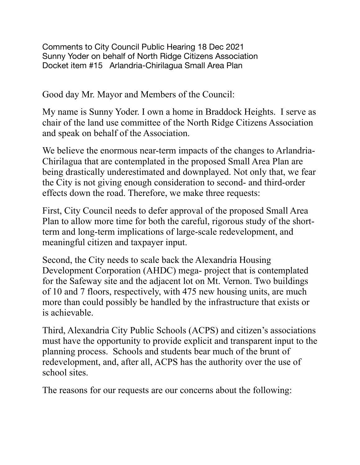Comments to City Council Public Hearing 18 Dec 2021 Sunny Yoder on behalf of North Ridge Citizens Association Docket item #15 Arlandria-Chirilagua Small Area Plan

Good day Mr. Mayor and Members of the Council:

My name is Sunny Yoder. I own a home in Braddock Heights. I serve as chair of the land use committee of the North Ridge Citizens Association and speak on behalf of the Association.

We believe the enormous near-term impacts of the changes to Arlandria-Chirilagua that are contemplated in the proposed Small Area Plan are being drastically underestimated and downplayed. Not only that, we fear the City is not giving enough consideration to second- and third-order effects down the road. Therefore, we make three requests:

First, City Council needs to defer approval of the proposed Small Area Plan to allow more time for both the careful, rigorous study of the shortterm and long-term implications of large-scale redevelopment, and meaningful citizen and taxpayer input.

Second, the City needs to scale back the Alexandria Housing Development Corporation (AHDC) mega- project that is contemplated for the Safeway site and the adjacent lot on Mt. Vernon. Two buildings of 10 and 7 floors, respectively, with 475 new housing units, are much more than could possibly be handled by the infrastructure that exists or is achievable.

Third, Alexandria City Public Schools (ACPS) and citizen's associations must have the opportunity to provide explicit and transparent input to the planning process. Schools and students bear much of the brunt of redevelopment, and, after all, ACPS has the authority over the use of school sites.

The reasons for our requests are our concerns about the following: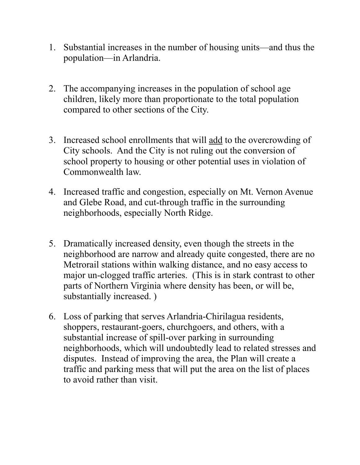- 1. Substantial increases in the number of housing units—and thus the population—in Arlandria.
- 2. The accompanying increases in the population of school age children, likely more than proportionate to the total population compared to other sections of the City.
- 3. Increased school enrollments that will add to the overcrowding of City schools. And the City is not ruling out the conversion of school property to housing or other potential uses in violation of Commonwealth law.
- 4. Increased traffic and congestion, especially on Mt. Vernon Avenue and Glebe Road, and cut-through traffic in the surrounding neighborhoods, especially North Ridge.
- 5. Dramatically increased density, even though the streets in the neighborhood are narrow and already quite congested, there are no Metrorail stations within walking distance, and no easy access to major un-clogged traffic arteries. (This is in stark contrast to other parts of Northern Virginia where density has been, or will be, substantially increased. )
- 6. Loss of parking that serves Arlandria-Chirilagua residents, shoppers, restaurant-goers, churchgoers, and others, with a substantial increase of spill-over parking in surrounding neighborhoods, which will undoubtedly lead to related stresses and disputes. Instead of improving the area, the Plan will create a traffic and parking mess that will put the area on the list of places to avoid rather than visit.